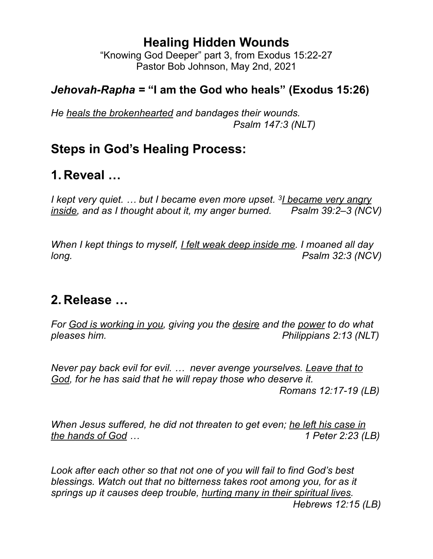## **Healing Hidden Wounds**

"Knowing God Deeper" part 3, from Exodus 15:22-27 Pastor Bob Johnson, May 2nd, 2021

## *Jehovah-Rapha =* **"I am the God who heals" (Exodus 15:26)**

*He heals the brokenhearted and bandages their wounds. Psalm 147:3 (NLT)*

## **Steps in God's Healing Process:**

# **1. Reveal …**

*I kept very quiet. … but I became even more upset. 3I became very angry inside, and as I thought about it, my anger burned. Psalm 39:2–3 (NCV)*

*When I kept things to myself, I felt weak deep inside me. I moaned all day long. Psalm 32:3 (NCV)*

## **2. Release …**

*For God is working in you, giving you the desire and the power to do what*  pleases him. *pleases him. pleases him.* 

*Never pay back evil for evil. … never avenge yourselves. Leave that to God, for he has said that he will repay those who deserve it. Romans 12:17-19 (LB)*

*When Jesus suffered, he did not threaten to get even; he left his case in the hands of God … 1 Peter 2:23 (LB)*

*Look after each other so that not one of you will fail to find God's best blessings. Watch out that no bitterness takes root among you, for as it springs up it causes deep trouble, hurting many in their spiritual lives. Hebrews 12:15 (LB)*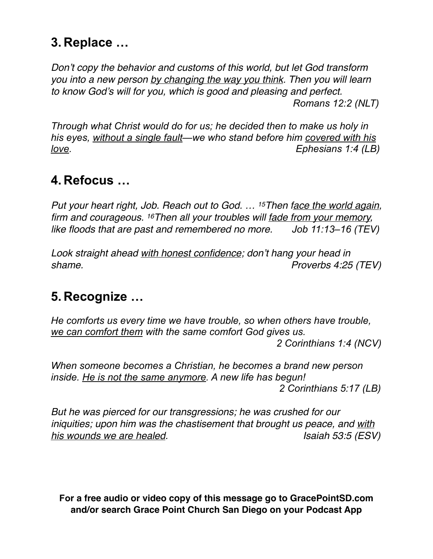# **3. Replace …**

*Don't copy the behavior and customs of this world, but let God transform you into a new person by changing the way you think. Then you will learn to know God's will for you, which is good and pleasing and perfect. Romans 12:2 (NLT)*

*Through what Christ would do for us; he decided then to make us holy in his eyes, without a single fault—we who stand before him covered with his love. Ephesians 1:4 (LB)*

## **4. Refocus …**

*Put your heart right, Job. Reach out to God. … 15Then face the world again, firm and courageous. 16Then all your troubles will fade from your memory, like floods that are past and remembered no more. Job 11:13–16 (TEV)*

*Look straight ahead with honest confidence; don't hang your head in shame. Proverbs 4:25 (TEV)* 

# **5. Recognize …**

*He comforts us every time we have trouble, so when others have trouble, we can comfort them with the same comfort God gives us. 2 Corinthians 1:4 (NCV)*

*When someone becomes a Christian, he becomes a brand new person inside. He is not the same anymore. A new life has begun! 2 Corinthians 5:17 (LB)*

*But he was pierced for our transgressions; he was crushed for our iniquities; upon him was the chastisement that brought us peace, and with*  his wounds we are healed. In the set of the set of the set of the set of the set of the set of the set of the s

**For a free audio or video copy of this message go to GracePointSD.com and/or search Grace Point Church San Diego on your Podcast App**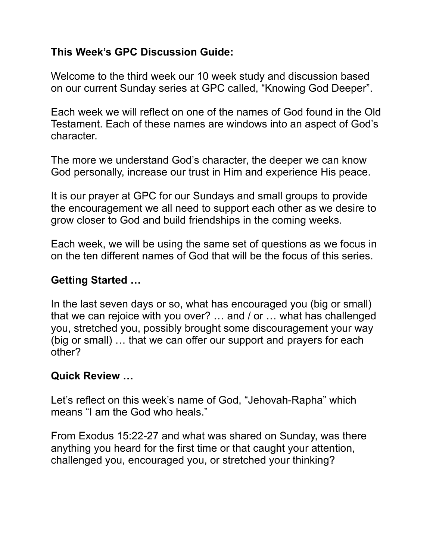### **This Week's GPC Discussion Guide:**

Welcome to the third week our 10 week study and discussion based on our current Sunday series at GPC called, "Knowing God Deeper".

Each week we will reflect on one of the names of God found in the Old Testament. Each of these names are windows into an aspect of God's character.

The more we understand God's character, the deeper we can know God personally, increase our trust in Him and experience His peace.

It is our prayer at GPC for our Sundays and small groups to provide the encouragement we all need to support each other as we desire to grow closer to God and build friendships in the coming weeks.

Each week, we will be using the same set of questions as we focus in on the ten different names of God that will be the focus of this series.

### **Getting Started …**

In the last seven days or so, what has encouraged you (big or small) that we can rejoice with you over? … and / or … what has challenged you, stretched you, possibly brought some discouragement your way (big or small) … that we can offer our support and prayers for each other?

#### **Quick Review …**

Let's reflect on this week's name of God, "Jehovah-Rapha" which means "I am the God who heals."

From Exodus 15:22-27 and what was shared on Sunday, was there anything you heard for the first time or that caught your attention, challenged you, encouraged you, or stretched your thinking?